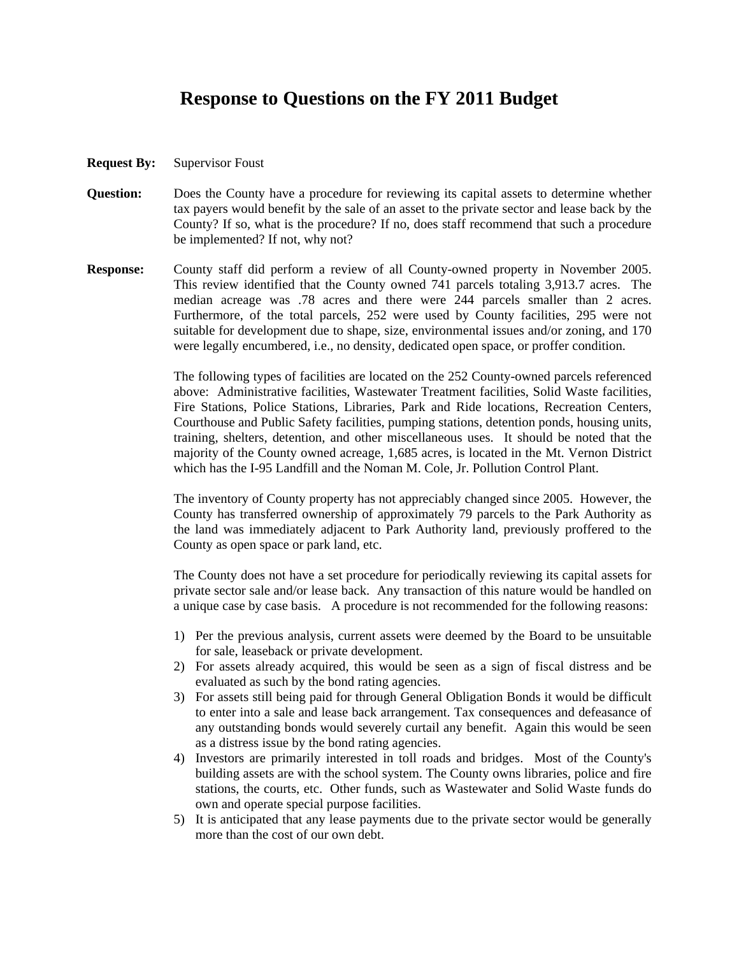## **Response to Questions on the FY 2011 Budget**

- **Request By:** Supervisor Foust
- **Question:** Does the County have a procedure for reviewing its capital assets to determine whether tax payers would benefit by the sale of an asset to the private sector and lease back by the County? If so, what is the procedure? If no, does staff recommend that such a procedure be implemented? If not, why not?
- **Response:** County staff did perform a review of all County-owned property in November 2005. This review identified that the County owned 741 parcels totaling 3,913.7 acres. The median acreage was .78 acres and there were 244 parcels smaller than 2 acres. Furthermore, of the total parcels, 252 were used by County facilities, 295 were not suitable for development due to shape, size, environmental issues and/or zoning, and 170 were legally encumbered, i.e., no density, dedicated open space, or proffer condition.

 The following types of facilities are located on the 252 County-owned parcels referenced above: Administrative facilities, Wastewater Treatment facilities, Solid Waste facilities, Fire Stations, Police Stations, Libraries, Park and Ride locations, Recreation Centers, Courthouse and Public Safety facilities, pumping stations, detention ponds, housing units, training, shelters, detention, and other miscellaneous uses. It should be noted that the majority of the County owned acreage, 1,685 acres, is located in the Mt. Vernon District which has the I-95 Landfill and the Noman M. Cole, Jr. Pollution Control Plant.

 The inventory of County property has not appreciably changed since 2005. However, the County has transferred ownership of approximately 79 parcels to the Park Authority as the land was immediately adjacent to Park Authority land, previously proffered to the County as open space or park land, etc.

 The County does not have a set procedure for periodically reviewing its capital assets for private sector sale and/or lease back. Any transaction of this nature would be handled on a unique case by case basis. A procedure is not recommended for the following reasons:

- 1) Per the previous analysis, current assets were deemed by the Board to be unsuitable for sale, leaseback or private development.
- 2) For assets already acquired, this would be seen as a sign of fiscal distress and be evaluated as such by the bond rating agencies.
- 3) For assets still being paid for through General Obligation Bonds it would be difficult to enter into a sale and lease back arrangement. Tax consequences and defeasance of any outstanding bonds would severely curtail any benefit. Again this would be seen as a distress issue by the bond rating agencies.
- 4) Investors are primarily interested in toll roads and bridges. Most of the County's building assets are with the school system. The County owns libraries, police and fire stations, the courts, etc. Other funds, such as Wastewater and Solid Waste funds do own and operate special purpose facilities.
- 5) It is anticipated that any lease payments due to the private sector would be generally more than the cost of our own debt.